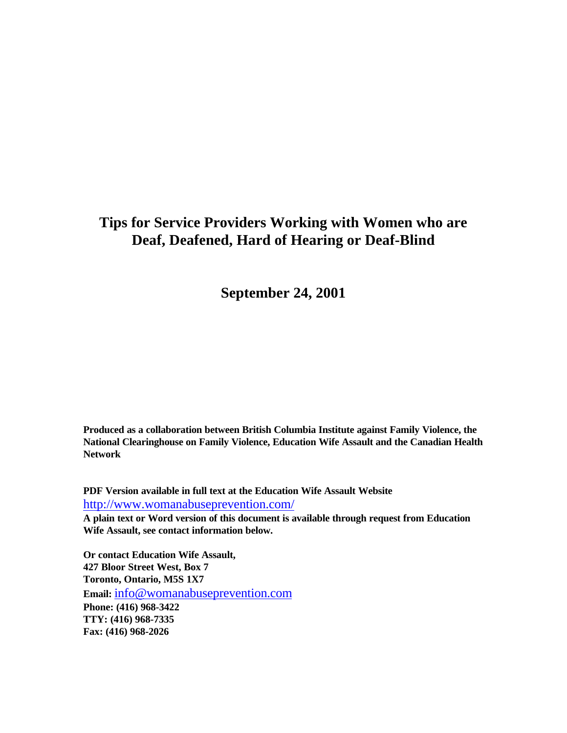# **Tips for Service Providers Working with Women who are Deaf, Deafened, Hard of Hearing or Deaf-Blind**

**September 24, 2001**

**Produced as a collaboration between British Columbia Institute against Family Violence, the National Clearinghouse on Family Violence, Education Wife Assault and the Canadian Health Network**

**PDF Version available in full text at the Education Wife Assault Website** http://www.womanabuseprevention.com/

**A plain text or Word version of this document is available through request from Education Wife Assault, see contact information below.**

**Or contact Education Wife Assault, 427 Bloor Street West, Box 7 Toronto, Ontario, M5S 1X7 Email:** info@womanabuseprevention.com **Phone: (416) 968-3422 TTY: (416) 968-7335 Fax: (416) 968-2026**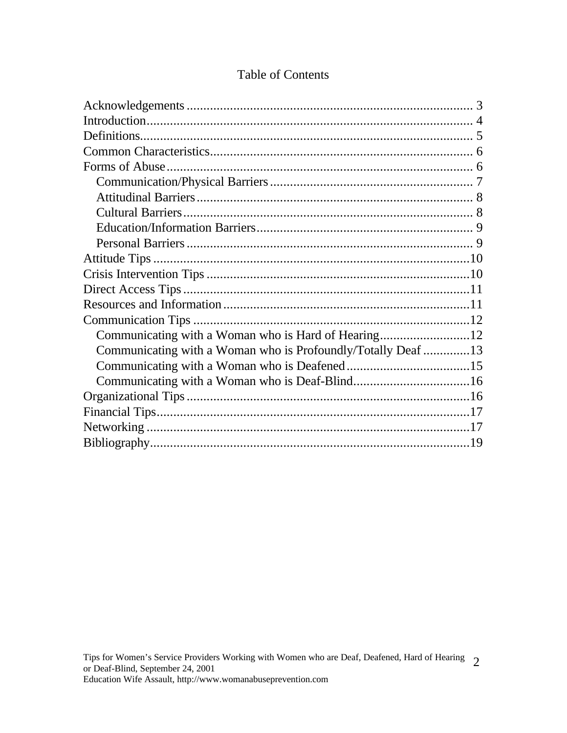| Communicating with a Woman who is Profoundly/Totally Deaf 13 |  |
|--------------------------------------------------------------|--|
|                                                              |  |
|                                                              |  |
|                                                              |  |
|                                                              |  |
|                                                              |  |
|                                                              |  |

## Table of Contents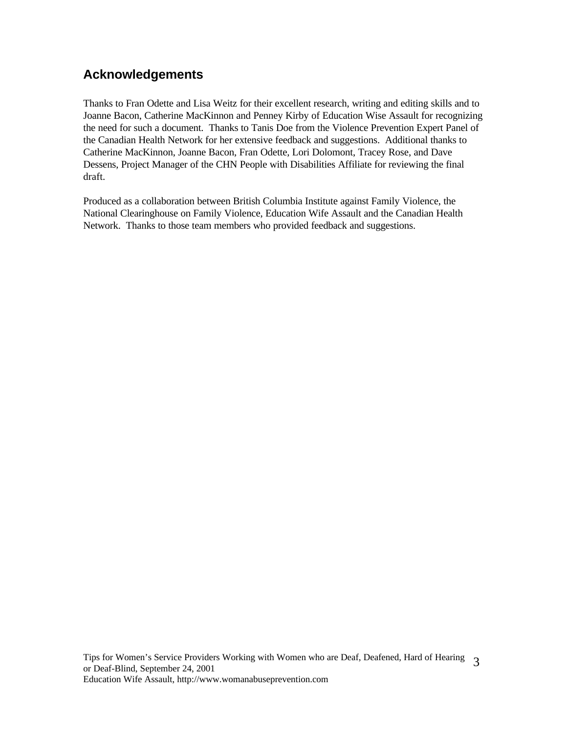# **Acknowledgements**

Thanks to Fran Odette and Lisa Weitz for their excellent research, writing and editing skills and to Joanne Bacon, Catherine MacKinnon and Penney Kirby of Education Wise Assault for recognizing the need for such a document. Thanks to Tanis Doe from the Violence Prevention Expert Panel of the Canadian Health Network for her extensive feedback and suggestions. Additional thanks to Catherine MacKinnon, Joanne Bacon, Fran Odette, Lori Dolomont, Tracey Rose, and Dave Dessens, Project Manager of the CHN People with Disabilities Affiliate for reviewing the final draft.

Produced as a collaboration between British Columbia Institute against Family Violence, the National Clearinghouse on Family Violence, Education Wife Assault and the Canadian Health Network. Thanks to those team members who provided feedback and suggestions.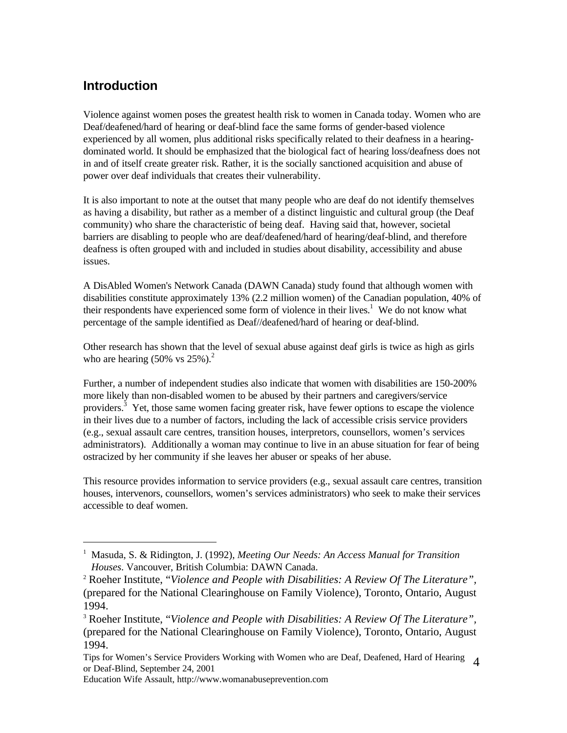## **Introduction**

-

Violence against women poses the greatest health risk to women in Canada today. Women who are Deaf/deafened/hard of hearing or deaf-blind face the same forms of gender-based violence experienced by all women, plus additional risks specifically related to their deafness in a hearingdominated world. It should be emphasized that the biological fact of hearing loss/deafness does not in and of itself create greater risk. Rather, it is the socially sanctioned acquisition and abuse of power over deaf individuals that creates their vulnerability.

It is also important to note at the outset that many people who are deaf do not identify themselves as having a disability, but rather as a member of a distinct linguistic and cultural group (the Deaf community) who share the characteristic of being deaf. Having said that, however, societal barriers are disabling to people who are deaf/deafened/hard of hearing/deaf-blind, and therefore deafness is often grouped with and included in studies about disability, accessibility and abuse issues.

A DisAbled Women's Network Canada (DAWN Canada) study found that although women with disabilities constitute approximately 13% (2.2 million women) of the Canadian population, 40% of their respondents have experienced some form of violence in their lives.<sup>1</sup> We do not know what percentage of the sample identified as Deaf//deafened/hard of hearing or deaf-blind.

Other research has shown that the level of sexual abuse against deaf girls is twice as high as girls who are hearing  $(50\% \text{ vs } 25\%).^2$ 

Further, a number of independent studies also indicate that women with disabilities are 150-200% more likely than non-disabled women to be abused by their partners and caregivers/service providers.<sup>3</sup> Yet, those same women facing greater risk, have fewer options to escape the violence in their lives due to a number of factors, including the lack of accessible crisis service providers (e.g., sexual assault care centres, transition houses, interpretors, counsellors, women's services administrators). Additionally a woman may continue to live in an abuse situation for fear of being ostracized by her community if she leaves her abuser or speaks of her abuse.

This resource provides information to service providers (e.g., sexual assault care centres, transition houses, intervenors, counsellors, women's services administrators) who seek to make their services accessible to deaf women.

<sup>&</sup>lt;sup>1</sup> Masuda, S. & Ridington, J. (1992), *Meeting Our Needs: An Access Manual for Transition Houses*. Vancouver, British Columbia: DAWN Canada.

<sup>2</sup> Roeher Institute, "*Violence and People with Disabilities: A Review Of The Literature",* (prepared for the National Clearinghouse on Family Violence), Toronto, Ontario, August 1994.

<sup>3</sup> Roeher Institute, "*Violence and People with Disabilities: A Review Of The Literature",* (prepared for the National Clearinghouse on Family Violence), Toronto, Ontario, August 1994.

Tips for Women's Service Providers Working with Women who are Deaf, Deafened, Hard of Hearing 4 or Deaf-Blind, September 24, 2001

Education Wife Assault, http://www.womanabuseprevention.com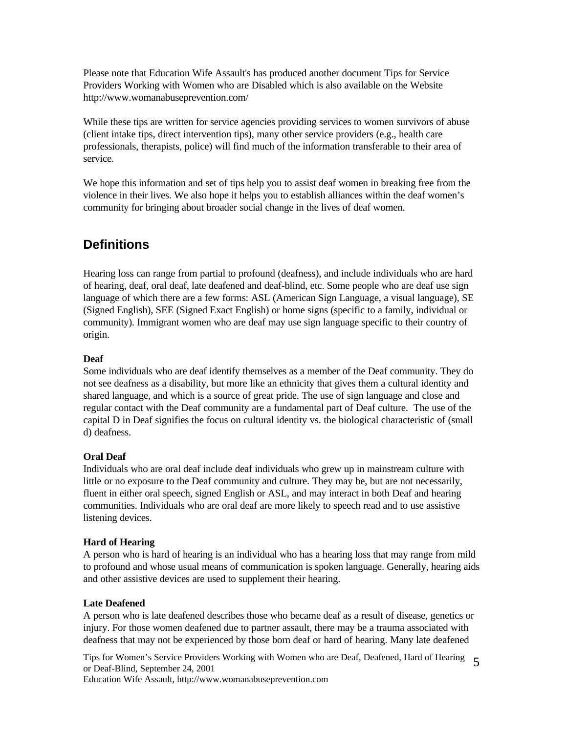Please note that Education Wife Assault's has produced another document Tips for Service Providers Working with Women who are Disabled which is also available on the Website http://www.womanabuseprevention.com/

While these tips are written for service agencies providing services to women survivors of abuse (client intake tips, direct intervention tips), many other service providers (e.g., health care professionals, therapists, police) will find much of the information transferable to their area of service.

We hope this information and set of tips help you to assist deaf women in breaking free from the violence in their lives. We also hope it helps you to establish alliances within the deaf women's community for bringing about broader social change in the lives of deaf women.

### **Definitions**

Hearing loss can range from partial to profound (deafness), and include individuals who are hard of hearing, deaf, oral deaf, late deafened and deaf-blind, etc. Some people who are deaf use sign language of which there are a few forms: ASL (American Sign Language, a visual language), SE (Signed English), SEE (Signed Exact English) or home signs (specific to a family, individual or community). Immigrant women who are deaf may use sign language specific to their country of origin.

#### **Deaf**

Some individuals who are deaf identify themselves as a member of the Deaf community. They do not see deafness as a disability, but more like an ethnicity that gives them a cultural identity and shared language, and which is a source of great pride. The use of sign language and close and regular contact with the Deaf community are a fundamental part of Deaf culture. The use of the capital D in Deaf signifies the focus on cultural identity vs. the biological characteristic of (small d) deafness.

#### **Oral Deaf**

Individuals who are oral deaf include deaf individuals who grew up in mainstream culture with little or no exposure to the Deaf community and culture. They may be, but are not necessarily, fluent in either oral speech, signed English or ASL, and may interact in both Deaf and hearing communities. Individuals who are oral deaf are more likely to speech read and to use assistive listening devices.

#### **Hard of Hearing**

A person who is hard of hearing is an individual who has a hearing loss that may range from mild to profound and whose usual means of communication is spoken language. Generally, hearing aids and other assistive devices are used to supplement their hearing.

#### **Late Deafened**

A person who is late deafened describes those who became deaf as a result of disease, genetics or injury. For those women deafened due to partner assault, there may be a trauma associated with deafness that may not be experienced by those born deaf or hard of hearing. Many late deafened

Tips for Women's Service Providers Working with Women who are Deaf, Deafened, Hard of Hearing 5 or Deaf-Blind, September 24, 2001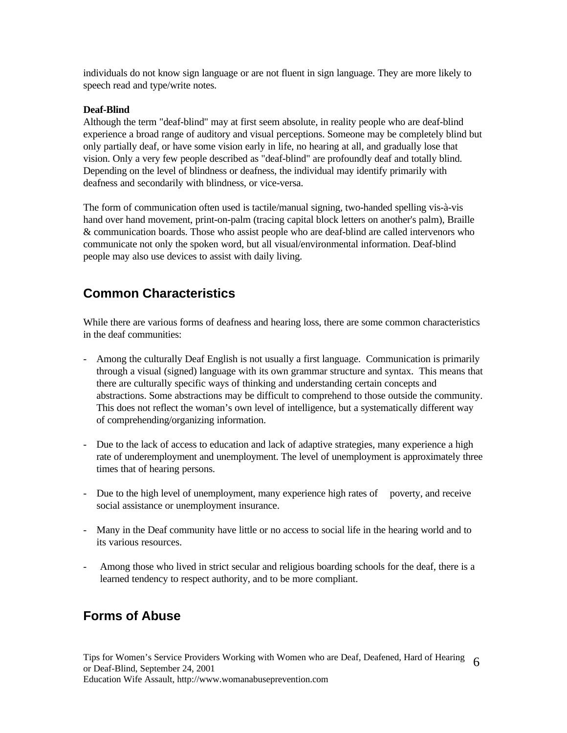individuals do not know sign language or are not fluent in sign language. They are more likely to speech read and type/write notes.

#### **Deaf-Blind**

Although the term "deaf-blind" may at first seem absolute, in reality people who are deaf-blind experience a broad range of auditory and visual perceptions. Someone may be completely blind but only partially deaf, or have some vision early in life, no hearing at all, and gradually lose that vision. Only a very few people described as "deaf-blind" are profoundly deaf and totally blind. Depending on the level of blindness or deafness, the individual may identify primarily with deafness and secondarily with blindness, or vice-versa.

The form of communication often used is tactile/manual signing, two-handed spelling vis-à-vis hand over hand movement, print-on-palm (tracing capital block letters on another's palm), Braille & communication boards. Those who assist people who are deaf-blind are called intervenors who communicate not only the spoken word, but all visual/environmental information. Deaf-blind people may also use devices to assist with daily living.

# **Common Characteristics**

While there are various forms of deafness and hearing loss, there are some common characteristics in the deaf communities:

- Among the culturally Deaf English is not usually a first language. Communication is primarily through a visual (signed) language with its own grammar structure and syntax. This means that there are culturally specific ways of thinking and understanding certain concepts and abstractions. Some abstractions may be difficult to comprehend to those outside the community. This does not reflect the woman's own level of intelligence, but a systematically different way of comprehending/organizing information.
- Due to the lack of access to education and lack of adaptive strategies, many experience a high rate of underemployment and unemployment. The level of unemployment is approximately three times that of hearing persons.
- Due to the high level of unemployment, many experience high rates of poverty, and receive social assistance or unemployment insurance.
- Many in the Deaf community have little or no access to social life in the hearing world and to its various resources.
- Among those who lived in strict secular and religious boarding schools for the deaf, there is a learned tendency to respect authority, and to be more compliant.

## **Forms of Abuse**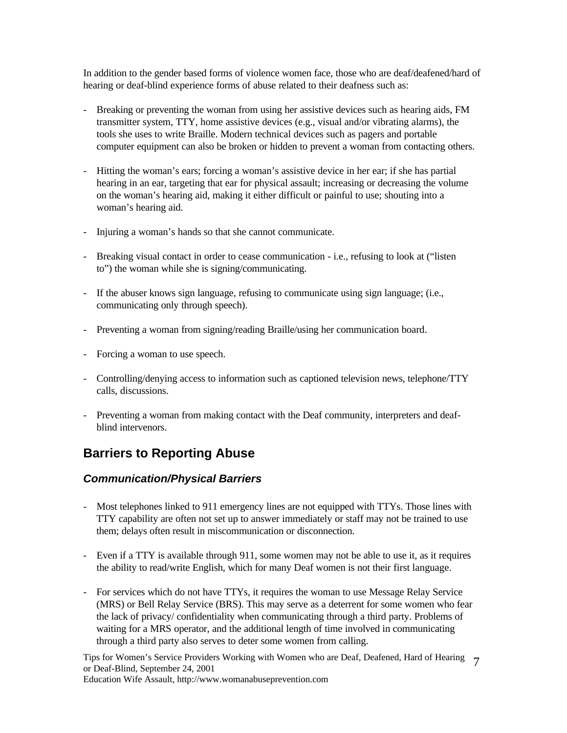In addition to the gender based forms of violence women face, those who are deaf/deafened/hard of hearing or deaf-blind experience forms of abuse related to their deafness such as:

- Breaking or preventing the woman from using her assistive devices such as hearing aids, FM transmitter system, TTY, home assistive devices (e.g., visual and/or vibrating alarms), the tools she uses to write Braille. Modern technical devices such as pagers and portable computer equipment can also be broken or hidden to prevent a woman from contacting others.
- Hitting the woman's ears; forcing a woman's assistive device in her ear; if she has partial hearing in an ear, targeting that ear for physical assault; increasing or decreasing the volume on the woman's hearing aid, making it either difficult or painful to use; shouting into a woman's hearing aid.
- Injuring a woman's hands so that she cannot communicate.
- Breaking visual contact in order to cease communication i.e., refusing to look at ("listen to") the woman while she is signing/communicating.
- If the abuser knows sign language, refusing to communicate using sign language; (i.e., communicating only through speech).
- Preventing a woman from signing/reading Braille/using her communication board.
- Forcing a woman to use speech.
- Controlling/denying access to information such as captioned television news, telephone/TTY calls, discussions.
- Preventing a woman from making contact with the Deaf community, interpreters and deafblind intervenors.

## **Barriers to Reporting Abuse**

### *Communication/Physical Barriers*

- Most telephones linked to 911 emergency lines are not equipped with TTYs. Those lines with TTY capability are often not set up to answer immediately or staff may not be trained to use them; delays often result in miscommunication or disconnection.
- Even if a TTY is available through 911, some women may not be able to use it, as it requires the ability to read/write English, which for many Deaf women is not their first language.
- For services which do not have TTYs, it requires the woman to use Message Relay Service (MRS) or Bell Relay Service (BRS). This may serve as a deterrent for some women who fear the lack of privacy/ confidentiality when communicating through a third party. Problems of waiting for a MRS operator, and the additional length of time involved in communicating through a third party also serves to deter some women from calling.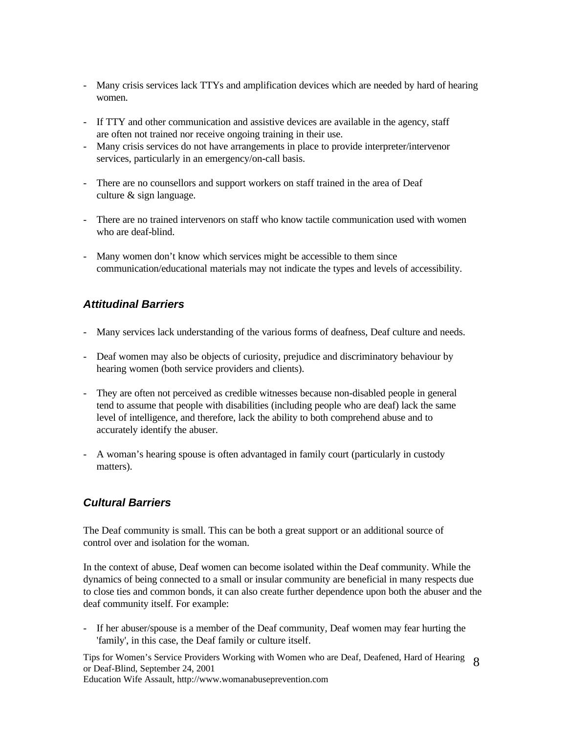- Many crisis services lack TTYs and amplification devices which are needed by hard of hearing women.
- If TTY and other communication and assistive devices are available in the agency, staff are often not trained nor receive ongoing training in their use.
- Many crisis services do not have arrangements in place to provide interpreter/intervenor services, particularly in an emergency/on-call basis.
- There are no counsellors and support workers on staff trained in the area of Deaf culture & sign language.
- There are no trained intervenors on staff who know tactile communication used with women who are deaf-blind.
- Many women don't know which services might be accessible to them since communication/educational materials may not indicate the types and levels of accessibility.

### *Attitudinal Barriers*

- Many services lack understanding of the various forms of deafness, Deaf culture and needs.
- Deaf women may also be objects of curiosity, prejudice and discriminatory behaviour by hearing women (both service providers and clients).
- They are often not perceived as credible witnesses because non-disabled people in general tend to assume that people with disabilities (including people who are deaf) lack the same level of intelligence, and therefore, lack the ability to both comprehend abuse and to accurately identify the abuser.
- A woman's hearing spouse is often advantaged in family court (particularly in custody matters).

### *Cultural Barriers*

The Deaf community is small. This can be both a great support or an additional source of control over and isolation for the woman.

In the context of abuse, Deaf women can become isolated within the Deaf community. While the dynamics of being connected to a small or insular community are beneficial in many respects due to close ties and common bonds, it can also create further dependence upon both the abuser and the deaf community itself. For example:

- If her abuser/spouse is a member of the Deaf community, Deaf women may fear hurting the 'family', in this case, the Deaf family or culture itself.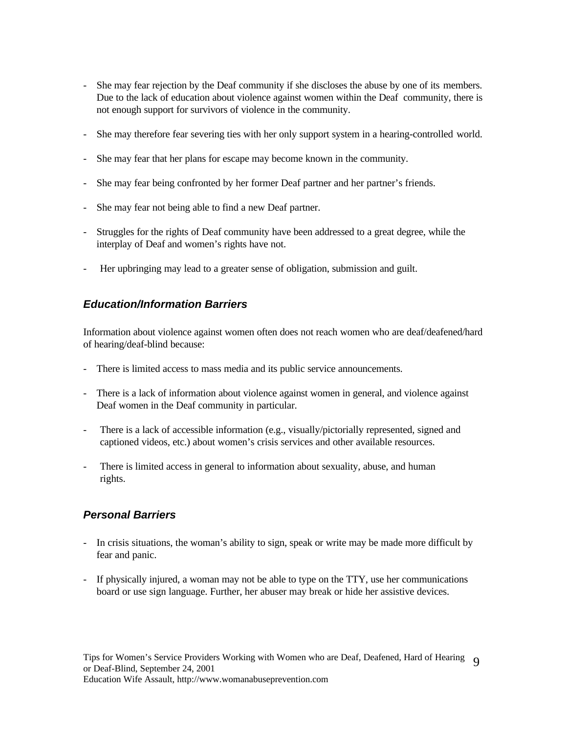- She may fear rejection by the Deaf community if she discloses the abuse by one of its members. Due to the lack of education about violence against women within the Deaf community, there is not enough support for survivors of violence in the community.
- She may therefore fear severing ties with her only support system in a hearing-controlled world.
- She may fear that her plans for escape may become known in the community.
- She may fear being confronted by her former Deaf partner and her partner's friends.
- She may fear not being able to find a new Deaf partner.
- Struggles for the rights of Deaf community have been addressed to a great degree, while the interplay of Deaf and women's rights have not.
- Her upbringing may lead to a greater sense of obligation, submission and guilt.

#### *Education/Information Barriers*

Information about violence against women often does not reach women who are deaf/deafened/hard of hearing/deaf-blind because:

- There is limited access to mass media and its public service announcements.
- There is a lack of information about violence against women in general, and violence against Deaf women in the Deaf community in particular.
- There is a lack of accessible information (e.g., visually/pictorially represented, signed and captioned videos, etc.) about women's crisis services and other available resources.
- There is limited access in general to information about sexuality, abuse, and human rights.

#### *Personal Barriers*

- In crisis situations, the woman's ability to sign, speak or write may be made more difficult by fear and panic.
- If physically injured, a woman may not be able to type on the TTY, use her communications board or use sign language. Further, her abuser may break or hide her assistive devices.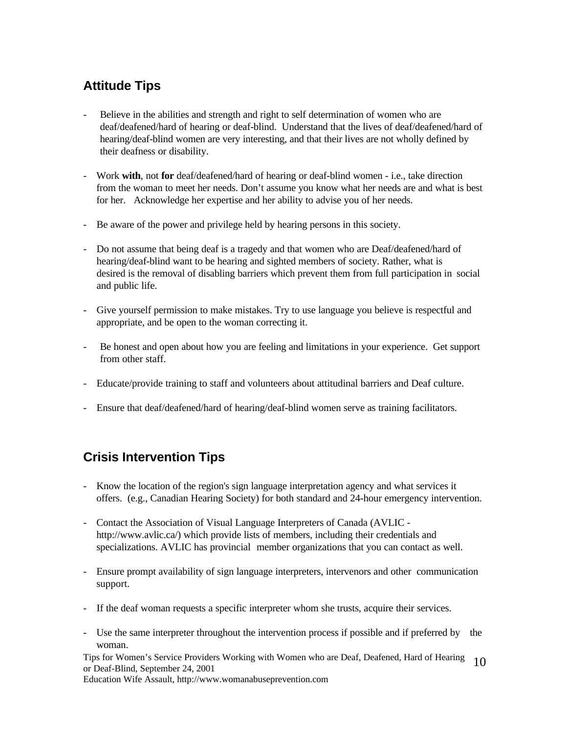# **Attitude Tips**

- Believe in the abilities and strength and right to self determination of women who are deaf/deafened/hard of hearing or deaf-blind. Understand that the lives of deaf/deafened/hard of hearing/deaf-blind women are very interesting, and that their lives are not wholly defined by their deafness or disability.
- Work **with**, not **for** deaf/deafened/hard of hearing or deaf-blind women i.e., take direction from the woman to meet her needs. Don't assume you know what her needs are and what is best for her. Acknowledge her expertise and her ability to advise you of her needs.
- Be aware of the power and privilege held by hearing persons in this society.
- Do not assume that being deaf is a tragedy and that women who are Deaf/deafened/hard of hearing/deaf-blind want to be hearing and sighted members of society. Rather, what is desired is the removal of disabling barriers which prevent them from full participation in social and public life.
- Give yourself permission to make mistakes. Try to use language you believe is respectful and appropriate, and be open to the woman correcting it.
- Be honest and open about how you are feeling and limitations in your experience. Get support from other staff.
- Educate/provide training to staff and volunteers about attitudinal barriers and Deaf culture.
- Ensure that deaf/deafened/hard of hearing/deaf-blind women serve as training facilitators.

# **Crisis Intervention Tips**

- Know the location of the region's sign language interpretation agency and what services it offers. (e.g., Canadian Hearing Society) for both standard and 24-hour emergency intervention.
- Contact the Association of Visual Language Interpreters of Canada (AVLIC http://www.avlic.ca/) which provide lists of members, including their credentials and specializations. AVLIC has provincial member organizations that you can contact as well.
- Ensure prompt availability of sign language interpreters, intervenors and other communication support.
- If the deaf woman requests a specific interpreter whom she trusts, acquire their services.
- Use the same interpreter throughout the intervention process if possible and if preferred by the woman.

Tips for Women's Service Providers Working with Women who are Deaf, Deafened, Hard of Hearing or Deaf-Blind, September 24, 2001 10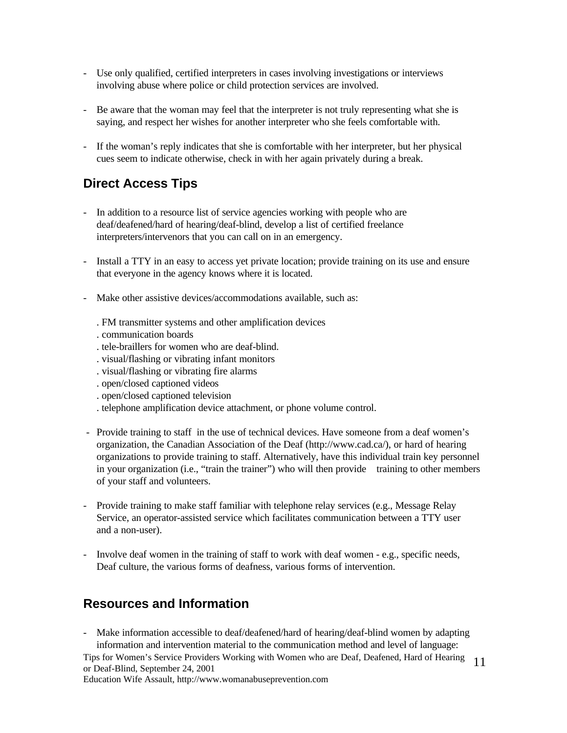- Use only qualified, certified interpreters in cases involving investigations or interviews involving abuse where police or child protection services are involved.
- Be aware that the woman may feel that the interpreter is not truly representing what she is saying, and respect her wishes for another interpreter who she feels comfortable with.
- If the woman's reply indicates that she is comfortable with her interpreter, but her physical cues seem to indicate otherwise, check in with her again privately during a break.

## **Direct Access Tips**

- In addition to a resource list of service agencies working with people who are deaf/deafened/hard of hearing/deaf-blind, develop a list of certified freelance interpreters/intervenors that you can call on in an emergency.
- Install a TTY in an easy to access yet private location; provide training on its use and ensure that everyone in the agency knows where it is located.
- Make other assistive devices/accommodations available, such as:
	- . FM transmitter systems and other amplification devices
	- . communication boards
	- . tele-braillers for women who are deaf-blind.
	- . visual/flashing or vibrating infant monitors
	- . visual/flashing or vibrating fire alarms
	- . open/closed captioned videos
	- . open/closed captioned television
	- . telephone amplification device attachment, or phone volume control.
- Provide training to staff in the use of technical devices. Have someone from a deaf women's organization, the Canadian Association of the Deaf (http://www.cad.ca/), or hard of hearing organizations to provide training to staff. Alternatively, have this individual train key personnel in your organization (i.e., "train the trainer") who will then provide training to other members of your staff and volunteers.
- Provide training to make staff familiar with telephone relay services (e.g., Message Relay Service, an operator-assisted service which facilitates communication between a TTY user and a non-user).
- Involve deaf women in the training of staff to work with deaf women e.g., specific needs, Deaf culture, the various forms of deafness, various forms of intervention.

### **Resources and Information**

Tips for Women's Service Providers Working with Women who are Deaf, Deafened, Hard of Hearing or Deaf-Blind, September 24, 2001 11 - Make information accessible to deaf/deafened/hard of hearing/deaf-blind women by adapting information and intervention material to the communication method and level of language: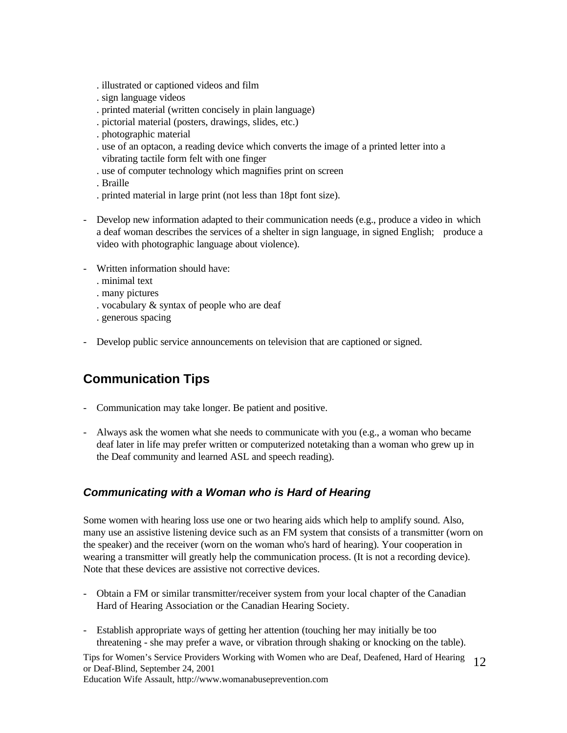- . illustrated or captioned videos and film
- . sign language videos
- . printed material (written concisely in plain language)
- . pictorial material (posters, drawings, slides, etc.)
- . photographic material
- . use of an optacon, a reading device which converts the image of a printed letter into a vibrating tactile form felt with one finger
- . use of computer technology which magnifies print on screen
- . Braille
- . printed material in large print (not less than 18pt font size).
- Develop new information adapted to their communication needs (e.g., produce a video in which a deaf woman describes the services of a shelter in sign language, in signed English; produce a video with photographic language about violence).
- Written information should have:
	- . minimal text
	- . many pictures
	- . vocabulary & syntax of people who are deaf
	- . generous spacing
- Develop public service announcements on television that are captioned or signed.

## **Communication Tips**

- Communication may take longer. Be patient and positive.
- Always ask the women what she needs to communicate with you (e.g., a woman who became deaf later in life may prefer written or computerized notetaking than a woman who grew up in the Deaf community and learned ASL and speech reading).

### *Communicating with a Woman who is Hard of Hearing*

Some women with hearing loss use one or two hearing aids which help to amplify sound. Also, many use an assistive listening device such as an FM system that consists of a transmitter (worn on the speaker) and the receiver (worn on the woman who's hard of hearing). Your cooperation in wearing a transmitter will greatly help the communication process. (It is not a recording device). Note that these devices are assistive not corrective devices.

- Obtain a FM or similar transmitter/receiver system from your local chapter of the Canadian Hard of Hearing Association or the Canadian Hearing Society.
- Establish appropriate ways of getting her attention (touching her may initially be too threatening - she may prefer a wave, or vibration through shaking or knocking on the table).

Tips for Women's Service Providers Working with Women who are Deaf, Deafened, Hard of Hearing or Deaf-Blind, September 24, 2001 12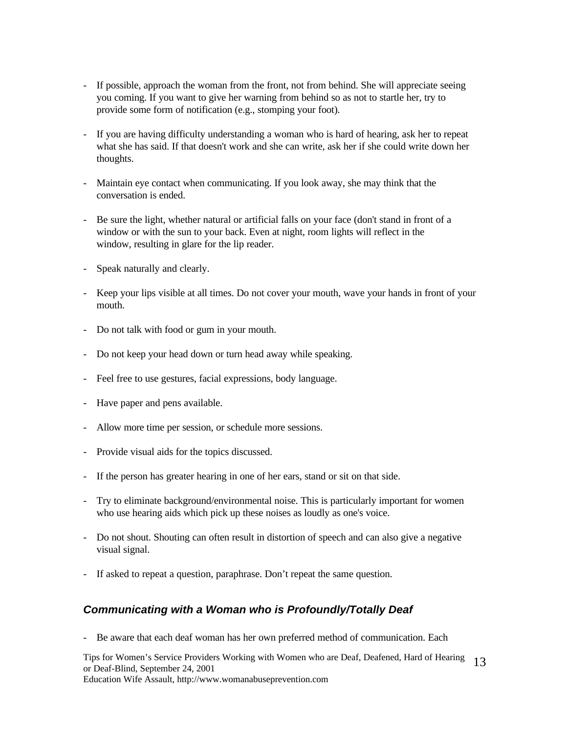- If possible, approach the woman from the front, not from behind. She will appreciate seeing you coming. If you want to give her warning from behind so as not to startle her, try to provide some form of notification (e.g., stomping your foot).
- If you are having difficulty understanding a woman who is hard of hearing, ask her to repeat what she has said. If that doesn't work and she can write, ask her if she could write down her thoughts.
- Maintain eye contact when communicating. If you look away, she may think that the conversation is ended.
- Be sure the light, whether natural or artificial falls on your face (don't stand in front of a window or with the sun to your back. Even at night, room lights will reflect in the window, resulting in glare for the lip reader.
- Speak naturally and clearly.
- Keep your lips visible at all times. Do not cover your mouth, wave your hands in front of your mouth.
- Do not talk with food or gum in your mouth.
- Do not keep your head down or turn head away while speaking.
- Feel free to use gestures, facial expressions, body language.
- Have paper and pens available.
- Allow more time per session, or schedule more sessions.
- Provide visual aids for the topics discussed.
- If the person has greater hearing in one of her ears, stand or sit on that side.
- Try to eliminate background/environmental noise. This is particularly important for women who use hearing aids which pick up these noises as loudly as one's voice.
- Do not shout. Shouting can often result in distortion of speech and can also give a negative visual signal.
- If asked to repeat a question, paraphrase. Don't repeat the same question.

### *Communicating with a Woman who is Profoundly/Totally Deaf*

- Be aware that each deaf woman has her own preferred method of communication. Each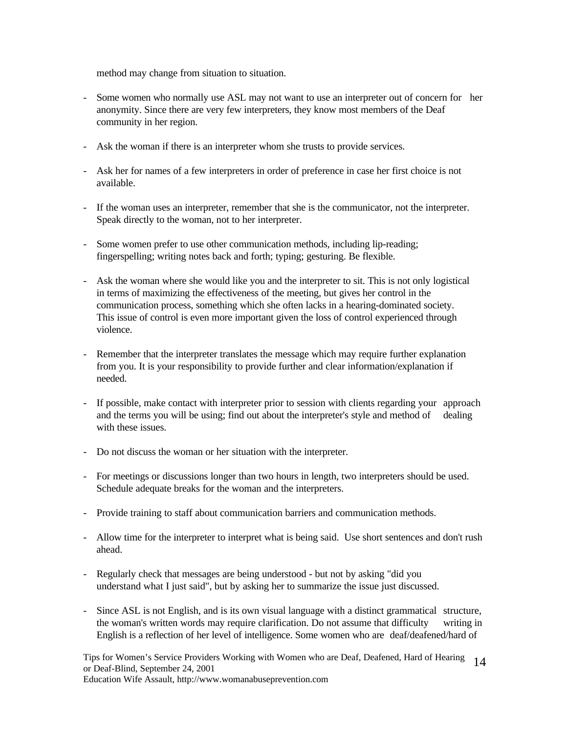method may change from situation to situation.

- Some women who normally use ASL may not want to use an interpreter out of concern for her anonymity. Since there are very few interpreters, they know most members of the Deaf community in her region.
- Ask the woman if there is an interpreter whom she trusts to provide services.
- Ask her for names of a few interpreters in order of preference in case her first choice is not available.
- If the woman uses an interpreter, remember that she is the communicator, not the interpreter. Speak directly to the woman, not to her interpreter.
- Some women prefer to use other communication methods, including lip-reading; fingerspelling; writing notes back and forth; typing; gesturing. Be flexible.
- Ask the woman where she would like you and the interpreter to sit. This is not only logistical in terms of maximizing the effectiveness of the meeting, but gives her control in the communication process, something which she often lacks in a hearing-dominated society. This issue of control is even more important given the loss of control experienced through violence.
- Remember that the interpreter translates the message which may require further explanation from you. It is your responsibility to provide further and clear information/explanation if needed.
- If possible, make contact with interpreter prior to session with clients regarding your approach and the terms you will be using; find out about the interpreter's style and method of dealing with these issues.
- Do not discuss the woman or her situation with the interpreter.
- For meetings or discussions longer than two hours in length, two interpreters should be used. Schedule adequate breaks for the woman and the interpreters.
- Provide training to staff about communication barriers and communication methods.
- Allow time for the interpreter to interpret what is being said. Use short sentences and don't rush ahead.
- Regularly check that messages are being understood but not by asking "did you understand what I just said", but by asking her to summarize the issue just discussed.
- Since ASL is not English, and is its own visual language with a distinct grammatical structure, the woman's written words may require clarification. Do not assume that difficulty writing in English is a reflection of her level of intelligence. Some women who are deaf/deafened/hard of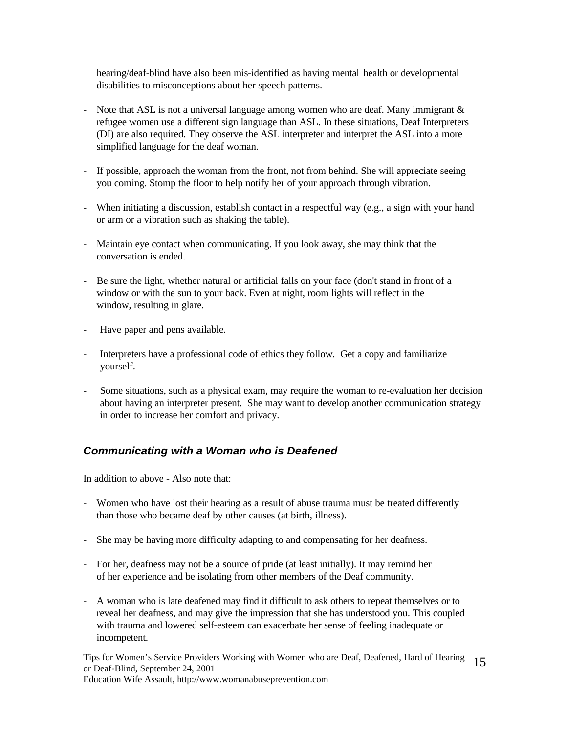hearing/deaf-blind have also been mis-identified as having mental health or developmental disabilities to misconceptions about her speech patterns.

- Note that ASL is not a universal language among women who are deaf. Many immigrant  $\&$  refugee women use a different sign language than ASL. In these situations, Deaf Interpreters (DI) are also required. They observe the ASL interpreter and interpret the ASL into a more simplified language for the deaf woman.
- If possible, approach the woman from the front, not from behind. She will appreciate seeing you coming. Stomp the floor to help notify her of your approach through vibration.
- When initiating a discussion, establish contact in a respectful way (e.g., a sign with your hand or arm or a vibration such as shaking the table).
- Maintain eye contact when communicating. If you look away, she may think that the conversation is ended.
- Be sure the light, whether natural or artificial falls on your face (don't stand in front of a window or with the sun to your back. Even at night, room lights will reflect in the window, resulting in glare.
- Have paper and pens available.
- Interpreters have a professional code of ethics they follow. Get a copy and familiarize yourself.
- Some situations, such as a physical exam, may require the woman to re-evaluation her decision about having an interpreter present. She may want to develop another communication strategy in order to increase her comfort and privacy.

### *Communicating with a Woman who is Deafened*

In addition to above - Also note that:

- Women who have lost their hearing as a result of abuse trauma must be treated differently than those who became deaf by other causes (at birth, illness).
- She may be having more difficulty adapting to and compensating for her deafness.
- For her, deafness may not be a source of pride (at least initially). It may remind her of her experience and be isolating from other members of the Deaf community.
- A woman who is late deafened may find it difficult to ask others to repeat themselves or to reveal her deafness, and may give the impression that she has understood you. This coupled with trauma and lowered self-esteem can exacerbate her sense of feeling inadequate or incompetent.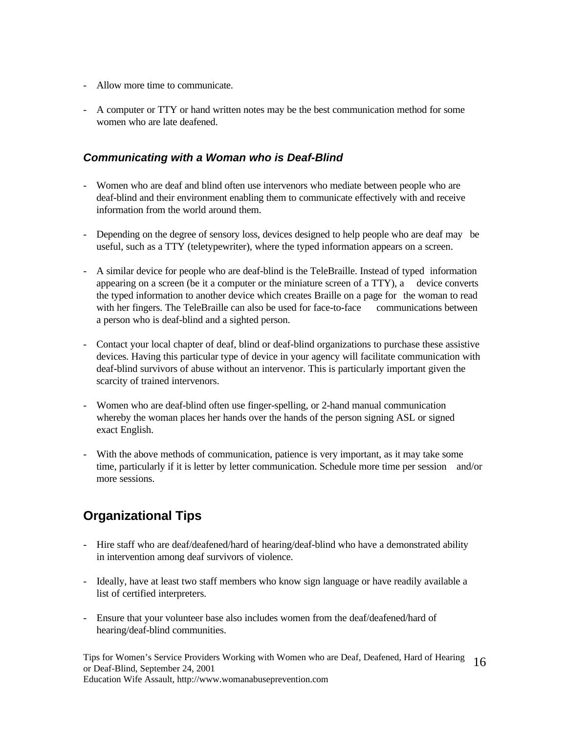- Allow more time to communicate.
- A computer or TTY or hand written notes may be the best communication method for some women who are late deafened.

#### *Communicating with a Woman who is Deaf-Blind*

- Women who are deaf and blind often use intervenors who mediate between people who are deaf-blind and their environment enabling them to communicate effectively with and receive information from the world around them.
- Depending on the degree of sensory loss, devices designed to help people who are deaf may be useful, such as a TTY (teletypewriter), where the typed information appears on a screen.
- A similar device for people who are deaf-blind is the TeleBraille. Instead of typed information appearing on a screen (be it a computer or the miniature screen of a TTY), a device converts the typed information to another device which creates Braille on a page for the woman to read with her fingers. The TeleBraille can also be used for face-to-face communications between a person who is deaf-blind and a sighted person.
- Contact your local chapter of deaf, blind or deaf-blind organizations to purchase these assistive devices. Having this particular type of device in your agency will facilitate communication with deaf-blind survivors of abuse without an intervenor. This is particularly important given the scarcity of trained intervenors.
- Women who are deaf-blind often use finger-spelling, or 2-hand manual communication whereby the woman places her hands over the hands of the person signing ASL or signed exact English.
- With the above methods of communication, patience is very important, as it may take some time, particularly if it is letter by letter communication. Schedule more time per session and/or more sessions.

# **Organizational Tips**

- Hire staff who are deaf/deafened/hard of hearing/deaf-blind who have a demonstrated ability in intervention among deaf survivors of violence.
- Ideally, have at least two staff members who know sign language or have readily available a list of certified interpreters.
- Ensure that your volunteer base also includes women from the deaf/deafened/hard of hearing/deaf-blind communities.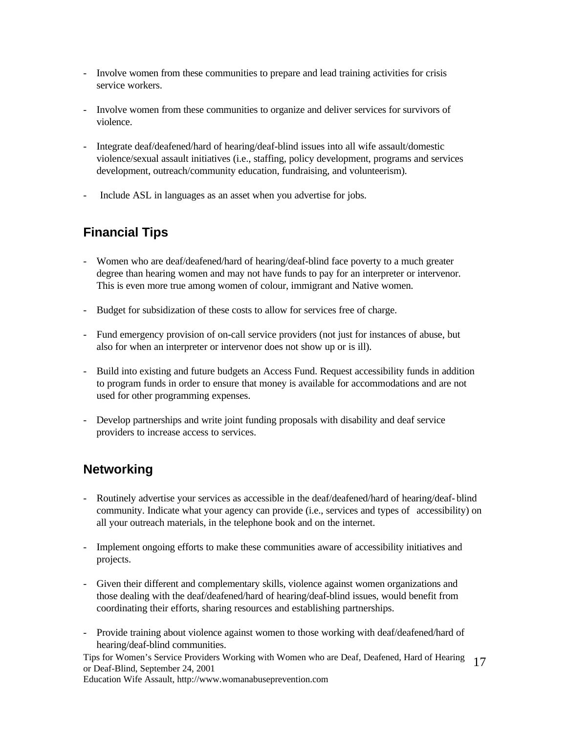- Involve women from these communities to prepare and lead training activities for crisis service workers.
- Involve women from these communities to organize and deliver services for survivors of violence.
- Integrate deaf/deafened/hard of hearing/deaf-blind issues into all wife assault/domestic violence/sexual assault initiatives (i.e., staffing, policy development, programs and services development, outreach/community education, fundraising, and volunteerism).
- Include ASL in languages as an asset when you advertise for jobs.

# **Financial Tips**

- Women who are deaf/deafened/hard of hearing/deaf-blind face poverty to a much greater degree than hearing women and may not have funds to pay for an interpreter or intervenor. This is even more true among women of colour, immigrant and Native women.
- Budget for subsidization of these costs to allow for services free of charge.
- Fund emergency provision of on-call service providers (not just for instances of abuse, but also for when an interpreter or intervenor does not show up or is ill).
- Build into existing and future budgets an Access Fund. Request accessibility funds in addition to program funds in order to ensure that money is available for accommodations and are not used for other programming expenses.
- Develop partnerships and write joint funding proposals with disability and deaf service providers to increase access to services.

## **Networking**

- Routinely advertise your services as accessible in the deaf/deafened/hard of hearing/deaf- blind community. Indicate what your agency can provide (i.e., services and types of accessibility) on all your outreach materials, in the telephone book and on the internet.
- Implement ongoing efforts to make these communities aware of accessibility initiatives and projects.
- Given their different and complementary skills, violence against women organizations and those dealing with the deaf/deafened/hard of hearing/deaf-blind issues, would benefit from coordinating their efforts, sharing resources and establishing partnerships.
- Provide training about violence against women to those working with deaf/deafened/hard of hearing/deaf-blind communities.

Tips for Women's Service Providers Working with Women who are Deaf, Deafened, Hard of Hearing or Deaf-Blind, September 24, 2001 17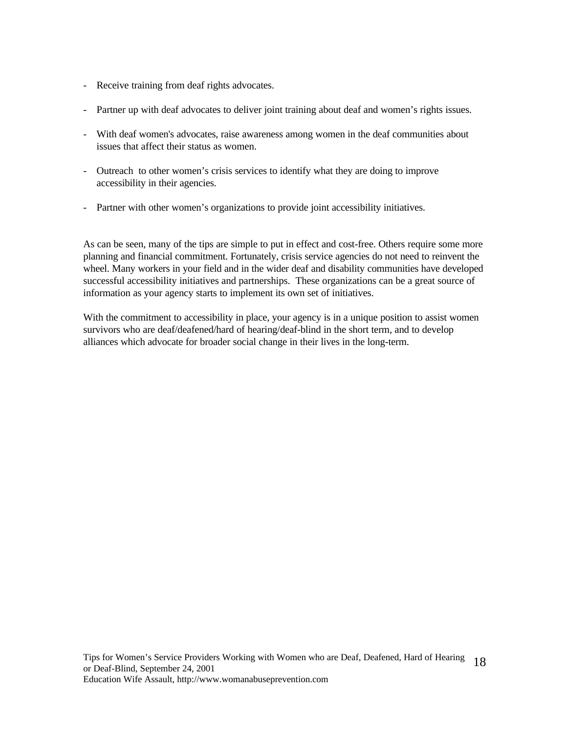- Receive training from deaf rights advocates.
- Partner up with deaf advocates to deliver joint training about deaf and women's rights issues.
- With deaf women's advocates, raise awareness among women in the deaf communities about issues that affect their status as women.
- Outreach to other women's crisis services to identify what they are doing to improve accessibility in their agencies.
- Partner with other women's organizations to provide joint accessibility initiatives.

As can be seen, many of the tips are simple to put in effect and cost-free. Others require some more planning and financial commitment. Fortunately, crisis service agencies do not need to reinvent the wheel. Many workers in your field and in the wider deaf and disability communities have developed successful accessibility initiatives and partnerships. These organizations can be a great source of information as your agency starts to implement its own set of initiatives.

With the commitment to accessibility in place, your agency is in a unique position to assist women survivors who are deaf/deafened/hard of hearing/deaf-blind in the short term, and to develop alliances which advocate for broader social change in their lives in the long-term.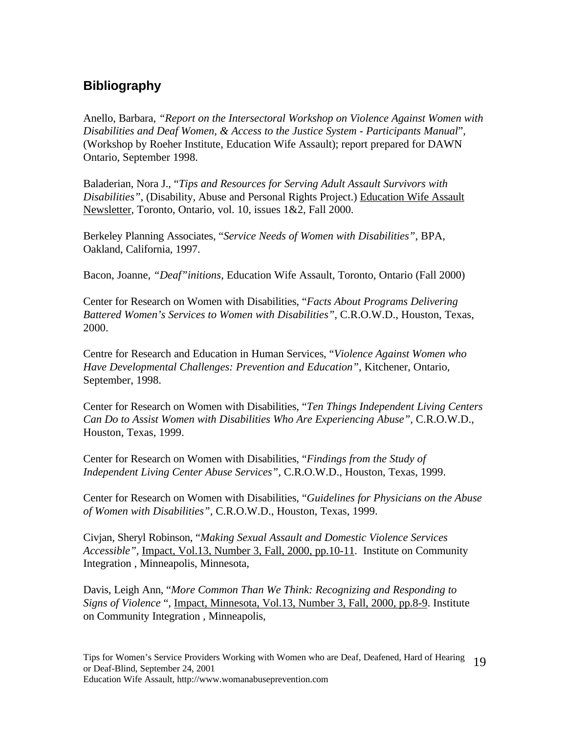# **Bibliography**

Anello, Barbara, *"Report on the Intersectoral Workshop on Violence Against Women with Disabilities and Deaf Women, & Access to the Justice System - Participants Manual*", (Workshop by Roeher Institute, Education Wife Assault); report prepared for DAWN Ontario, September 1998.

Baladerian, Nora J., "*Tips and Resources for Serving Adult Assault Survivors with Disabilities"*, (Disability, Abuse and Personal Rights Project.) Education Wife Assault Newsletter, Toronto, Ontario, vol. 10, issues 1&2, Fall 2000.

Berkeley Planning Associates, "*Service Needs of Women with Disabilities"*, BPA, Oakland, California, 1997.

Bacon, Joanne, *"Deaf"initions*, Education Wife Assault, Toronto, Ontario (Fall 2000)

Center for Research on Women with Disabilities, "*Facts About Programs Delivering Battered Women's Services to Women with Disabilities",* C.R.O.W.D., Houston, Texas, 2000.

Centre for Research and Education in Human Services, "*Violence Against Women who Have Developmental Challenges: Prevention and Education"*, Kitchener, Ontario, September, 1998.

Center for Research on Women with Disabilities, "*Ten Things Independent Living Centers Can Do to Assist Women with Disabilities Who Are Experiencing Abuse",* C.R.O.W.D., Houston, Texas, 1999.

Center for Research on Women with Disabilities, "*Findings from the Study of Independent Living Center Abuse Services",* C.R.O.W.D., Houston, Texas, 1999.

Center for Research on Women with Disabilities, "*Guidelines for Physicians on the Abuse of Women with Disabilities",* C.R.O.W.D., Houston, Texas, 1999.

Civjan, Sheryl Robinson, "*Making Sexual Assault and Domestic Violence Services Accessible",* Impact, Vol.13, Number 3, Fall, 2000, pp.10-11. Institute on Community Integration , Minneapolis, Minnesota,

Davis, Leigh Ann, "*More Common Than We Think: Recognizing and Responding to Signs of Violence* ", Impact, Minnesota, Vol.13, Number 3, Fall, 2000, pp.8-9. Institute on Community Integration , Minneapolis,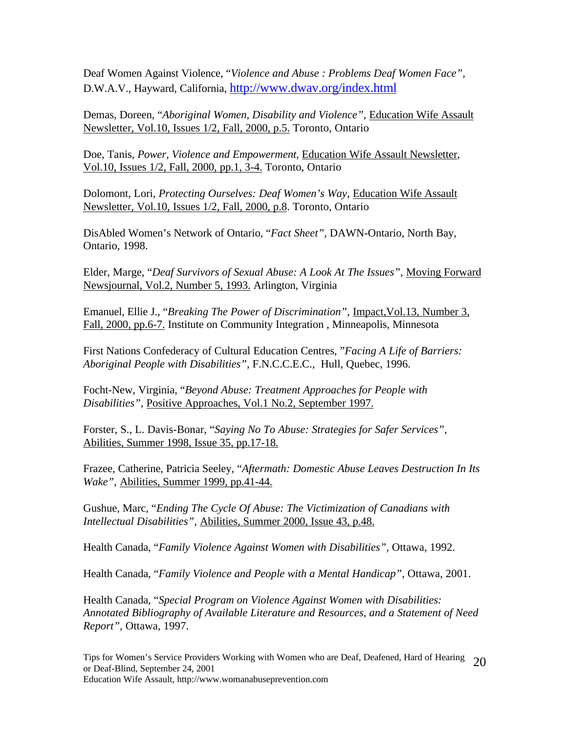Deaf Women Against Violence, "*Violence and Abuse : Problems Deaf Women Face"*, D.W.A.V., Hayward, California, http://www.dwav.org/index.html

Demas, Doreen, "*Aboriginal Women, Disability and Violence"*, Education Wife Assault Newsletter, Vol.10, Issues 1/2, Fall, 2000, p.5. Toronto, Ontario

Doe, Tanis, *Power, Violence and Empowerment,* Education Wife Assault Newsletter, Vol.10, Issues 1/2, Fall, 2000, pp.1, 3-4. Toronto, Ontario

Dolomont, Lori, *Protecting Ourselves: Deaf Women's Way*, Education Wife Assault Newsletter, Vol.10, Issues 1/2, Fall, 2000, p.8. Toronto, Ontario

DisAbled Women's Network of Ontario, "*Fact Sheet"*, DAWN-Ontario, North Bay, Ontario, 1998.

Elder, Marge, "*Deaf Survivors of Sexual Abuse: A Look At The Issues"*, Moving Forward Newsjournal, Vol.2, Number 5, 1993. Arlington, Virginia

Emanuel, Ellie J., "*Breaking The Power of Discrimination"*, Impact,Vol.13, Number 3, Fall, 2000, pp.6-7. Institute on Community Integration , Minneapolis, Minnesota

First Nations Confederacy of Cultural Education Centres, "*Facing A Life of Barriers: Aboriginal People with Disabilities"*, F.N.C.C.E.C., Hull, Quebec, 1996.

Focht-New, Virginia, "*Beyond Abuse: Treatment Approaches for People with Disabilities",* Positive Approaches, Vol.1 No.2, September 1997.

Forster, S., L. Davis-Bonar, "*Saying No To Abuse: Strategies for Safer Services"*, Abilities, Summer 1998, Issue 35, pp.17-18.

Frazee, Catherine, Patricia Seeley, "*Aftermath: Domestic Abuse Leaves Destruction In Its Wake"*, Abilities, Summer 1999, pp.41-44.

Gushue, Marc, "*Ending The Cycle Of Abuse: The Victimization of Canadians with Intellectual Disabilities"*, Abilities, Summer 2000, Issue 43, p.48.

Health Canada, "*Family Violence Against Women with Disabilities",* Ottawa, 1992.

Health Canada, "*Family Violence and People with a Mental Handicap"*, Ottawa, 2001.

Health Canada, "*Special Program on Violence Against Women with Disabilities: Annotated Bibliography of Available Literature and Resources, and a Statement of Need Report",* Ottawa, 1997.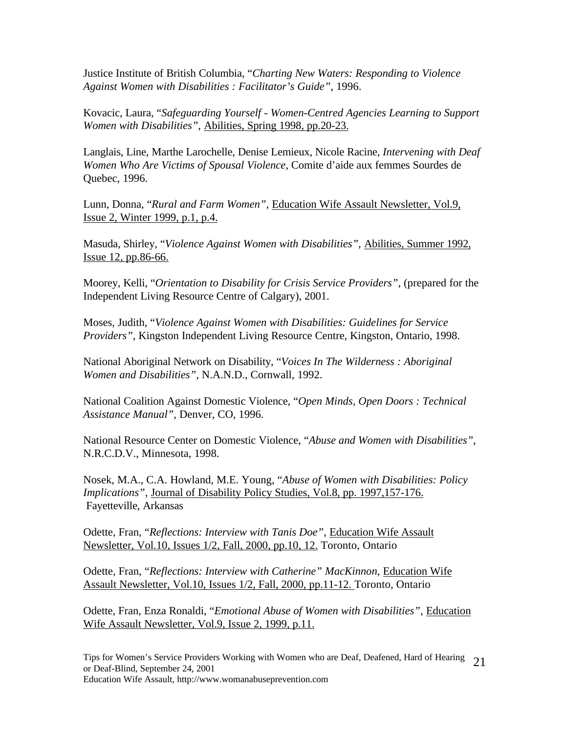Justice Institute of British Columbia, "*Charting New Waters: Responding to Violence Against Women with Disabilities : Facilitator's Guide"*, 1996.

Kovacic, Laura, "*Safeguarding Yourself - Women-Centred Agencies Learning to Support Women with Disabilities"*, Abilities, Spring 1998, pp.20-23.

Langlais, Line, Marthe Larochelle, Denise Lemieux, Nicole Racine, *Intervening with Deaf Women Who Are Victims of Spousal Violence*, Comite d'aide aux femmes Sourdes de Quebec, 1996.

Lunn, Donna, "*Rural and Farm Women"*, Education Wife Assault Newsletter, Vol.9, Issue 2, Winter 1999, p.1, p.4.

Masuda, Shirley, "*Violence Against Women with Disabilities"*, Abilities, Summer 1992, Issue 12, pp.86-66.

Moorey, Kelli, "*Orientation to Disability for Crisis Service Providers"*, (prepared for the Independent Living Resource Centre of Calgary), 2001.

Moses, Judith, "*Violence Against Women with Disabilities: Guidelines for Service Providers"*, Kingston Independent Living Resource Centre, Kingston, Ontario, 1998.

National Aboriginal Network on Disability, "*Voices In The Wilderness : Aboriginal Women and Disabilities"*, N.A.N.D., Cornwall, 1992.

National Coalition Against Domestic Violence, "*Open Minds, Open Doors : Technical Assistance Manual"*, Denver, CO, 1996.

National Resource Center on Domestic Violence, "*Abuse and Women with Disabilities"*, N.R.C.D.V., Minnesota, 1998.

Nosek, M.A., C.A. Howland, M.E. Young, "*Abuse of Women with Disabilities: Policy Implications"*, Journal of Disability Policy Studies, Vol.8, pp. 1997,157-176. Fayetteville, Arkansas

Odette, Fran, "*Reflections: Interview with Tanis Doe"*, Education Wife Assault Newsletter, Vol.10, Issues 1/2, Fall, 2000, pp.10, 12. Toronto, Ontario

Odette, Fran, "*Reflections: Interview with Catherine" MacKinnon*, Education Wife Assault Newsletter, Vol.10, Issues 1/2, Fall, 2000, pp.11-12. Toronto, Ontario

Odette, Fran, Enza Ronaldi, "*Emotional Abuse of Women with Disabilities"*, Education Wife Assault Newsletter, Vol.9, Issue 2, 1999, p.11.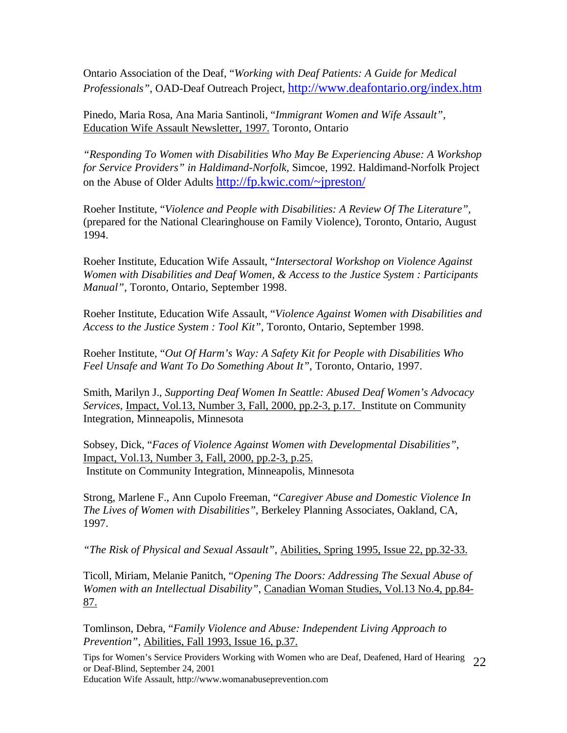Ontario Association of the Deaf, "*Working with Deaf Patients: A Guide for Medical Professionals"*, OAD-Deaf Outreach Project, http://www.deafontario.org/index.htm

Pinedo, Maria Rosa, Ana Maria Santinoli, "*Immigrant Women and Wife Assault"*, Education Wife Assault Newsletter, 1997. Toronto, Ontario

*"Responding To Women with Disabilities Who May Be Experiencing Abuse: A Workshop for Service Providers" in Haldimand-Norfolk,* Simcoe, 1992. Haldimand-Norfolk Project on the Abuse of Older Adults http://fp.kwic.com/~jpreston/

Roeher Institute, "*Violence and People with Disabilities: A Review Of The Literature",* (prepared for the National Clearinghouse on Family Violence), Toronto, Ontario, August 1994.

Roeher Institute, Education Wife Assault, "*Intersectoral Workshop on Violence Against Women with Disabilities and Deaf Women, & Access to the Justice System : Participants Manual"*, Toronto, Ontario, September 1998.

Roeher Institute, Education Wife Assault, "*Violence Against Women with Disabilities and Access to the Justice System : Tool Kit"*, Toronto, Ontario, September 1998.

Roeher Institute, "*Out Of Harm's Way: A Safety Kit for People with Disabilities Who Feel Unsafe and Want To Do Something About It"*, Toronto, Ontario, 1997.

Smith, Marilyn J., *Supporting Deaf Women In Seattle: Abused Deaf Women's Advocacy Services,* Impact, Vol.13, Number 3, Fall, 2000, pp.2-3, p.17. Institute on Community Integration, Minneapolis, Minnesota

Sobsey, Dick, "*Faces of Violence Against Women with Developmental Disabilities"*, Impact, Vol.13, Number 3, Fall, 2000, pp.2-3, p.25. Institute on Community Integration, Minneapolis, Minnesota

Strong, Marlene F., Ann Cupolo Freeman, "*Caregiver Abuse and Domestic Violence In The Lives of Women with Disabilities"*, Berkeley Planning Associates, Oakland, CA, 1997.

*"The Risk of Physical and Sexual Assault"*, Abilities, Spring 1995, Issue 22, pp.32-33.

Ticoll, Miriam, Melanie Panitch, "*Opening The Doors: Addressing The Sexual Abuse of Women with an Intellectual Disability"*, Canadian Woman Studies, Vol.13 No.4, pp.84- 87.

Tomlinson, Debra, "*Family Violence and Abuse: Independent Living Approach to Prevention"*, Abilities, Fall 1993, Issue 16, p.37.

Tips for Women's Service Providers Working with Women who are Deaf, Deafened, Hard of Hearing or Deaf-Blind, September 24, 2001 22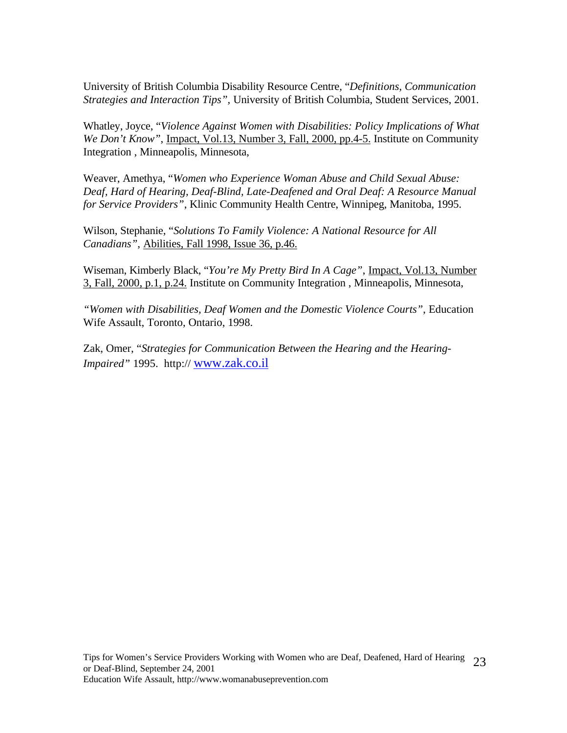University of British Columbia Disability Resource Centre, "*Definitions, Communication Strategies and Interaction Tips",* University of British Columbia, Student Services, 2001.

Whatley, Joyce, "*Violence Against Women with Disabilities: Policy Implications of What We Don't Know"*, Impact, Vol.13, Number 3, Fall, 2000, pp.4-5. Institute on Community Integration , Minneapolis, Minnesota,

Weaver, Amethya, "*Women who Experience Woman Abuse and Child Sexual Abuse: Deaf, Hard of Hearing, Deaf-Blind, Late-Deafened and Oral Deaf: A Resource Manual for Service Providers"*, Klinic Community Health Centre, Winnipeg, Manitoba, 1995.

Wilson, Stephanie, "*Solutions To Family Violence: A National Resource for All Canadians"*, Abilities, Fall 1998, Issue 36, p.46.

Wiseman, Kimberly Black, "*You're My Pretty Bird In A Cage"*, Impact, Vol.13, Number 3, Fall, 2000, p.1, p.24. Institute on Community Integration , Minneapolis, Minnesota,

*"Women with Disabilities, Deaf Women and the Domestic Violence Courts"*, Education Wife Assault, Toronto, Ontario, 1998.

Zak, Omer, "*Strategies for Communication Between the Hearing and the Hearing-Impaired"* 1995. http:// www.zak.co.il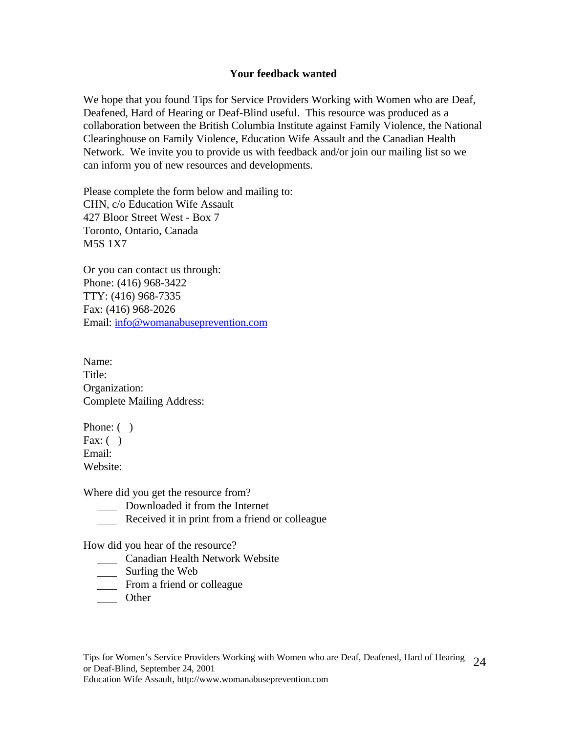#### **Your feedback wanted**

We hope that you found Tips for Service Providers Working with Women who are Deaf, Deafened, Hard of Hearing or Deaf-Blind useful. This resource was produced as a collaboration between the British Columbia Institute against Family Violence, the National Clearinghouse on Family Violence, Education Wife Assault and the Canadian Health Network. We invite you to provide us with feedback and/or join our mailing list so we can inform you of new resources and developments.

Please complete the form below and mailing to: CHN, c/o Education Wife Assault 427 Bloor Street West - Box 7 Toronto, Ontario, Canada M5S 1X7

Or you can contact us through: Phone: (416) 968-3422 TTY: (416) 968-7335 Fax: (416) 968-2026 Email: info@womanabuseprevention.com

Name: Title: Organization: Complete Mailing Address:

Phone: () Fax:  $( )$ Email: Website:

Where did you get the resource from?

- Downloaded it from the Internet
- Received it in print from a friend or colleague

How did you hear of the resource?

- **Canadian Health Network Website**
- \_\_\_\_\_\_ Surfing the Web
- **From a friend or colleague**
- \_\_\_\_\_ Other